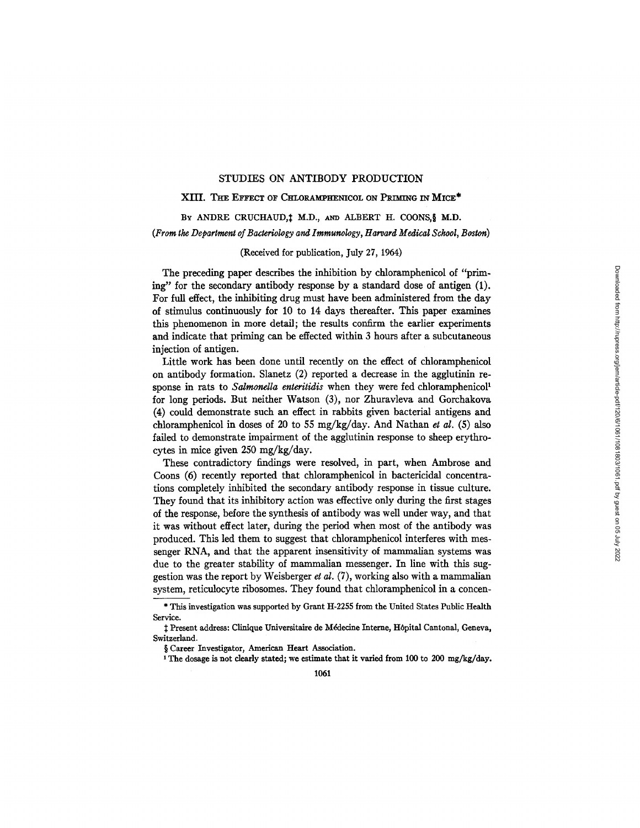# STUDIES ON ANTIBODY PRODUCTION

## XIII. THE EFFECT OF CHLORAMPHENICOL ON PRIMING IN MICE\*

BY ANDRE CRUCHAUD, 1 M.D., AND ALBERT H. COONS, § M.D. *(From the Department oJ Bacteriology and Immunology, Harvard Medical School, Boston)* 

## (Received for publication, July 27, 1964)

The preceding paper describes the inhibition by chloramphenicol of *"prim*ing" for the secondary antibody response by a standard dose of antigen (1). For full effect, the inhibiting drug must have been administered from the day of stimulus continuously for 10 to 14 days thereafter. This paper examines this phenomenon in more detail; the results confirm the earlier experiments and indicate that priming can be effected within 3 hours after a subcutaneous injection of antigen.

Little work has been done until recently on the effect of chloramphenicol on antibody formation. Slanetz (2) reported a decrease in the agglutinin response in rats to *Salmonella enteritidis* when they were fed chloramphenicol<sup>1</sup> for long periods. But neither Watson (3), nor Zhuravleva and Gorchakova (4) could demonstrate such an effect in rabbits given bacterial antigens and chloramphenicol in doses of 20 to 55 mg/kg/day. And Nathan et al. (5) also failed to demonstrate impairment of the agglutinin response to sheep erythrocytes in mice given 250 mg/kg/day.

These contradictory findings were resolved, in part, when Ambrose and Coons (6) recently reported that chloramphenicol in bactericidal concentrations completely inhibited the secondary antibody response in tissue culture. They found that its inhibitory action was effective only during the first stages of the response, before the synthesis of antibody was well under way, and that it was without effect later, during the period when most of the antibody was produced. This led them to suggest that chloramphenicol interferes with messenger RNA, and that the apparent insensitivity of mammalian systems was due to the greater stability of mammalian messenger. In line with this suggestion was the report by Weisberger *et al.* (7), working also with a mammalian system, reticulocyte ribosomes. They found that chloramphenicol in a concen-

<sup>\*</sup> This investigation was supported by Grant H-2255 from the United States Public Health Service.

 $\ddagger$  Present address: Clinique Universitaire de Médecine Interne, Hôpital Cantonal, Geneva, Switzerland.

<sup>§</sup> Career Investigator, American Heart Association.

<sup>1</sup> The dosage is **not clearly** stated; we estimate that it varied from 100 to 200 mg/kg/day.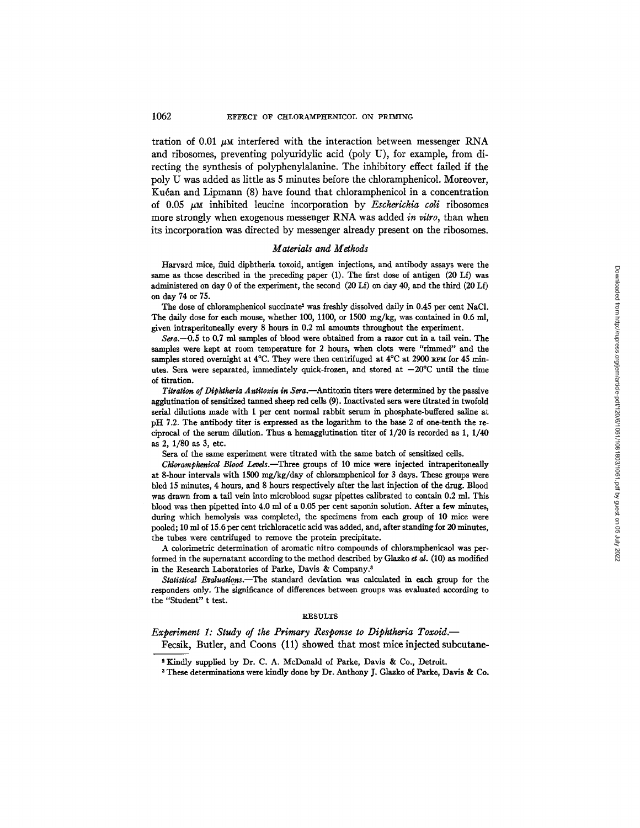tration of  $0.01 \mu M$  interfered with the interaction between messenger RNA and ribosomes, preventing polyuridylic acid (poly U), for example, from directing the synthesis of polyphenylalanine. The inhibitory effect failed if the poly U was added as little as 5 minutes before the chloramphenicol. Moreover, Kućan and Lipmann (8) have found that chloramphenicol in a concentration of 0.05 #M inhibited leucine incorporation by *Escherichia coli* ribosomes more strongly when exogenous messenger RNA was added *in vitro,* than when its incorporation was directed by messenger already present on the ribosomes.

## *Materials and Methods*

Harvard mice, fluid diphtheria toxoid, antigen injections, and antibody assays were the same as those described in the preceding paper (1). The first dose of antigen (20 Lf) was administered on day 0 of the experiment, the second (20 Lf) on day 40, and the third (20 Lf) on day 74 or 75.

The dose of chloramphenicol succinate<sup>2</sup> was freshly dissolved daily in 0.45 per cent NaCl. The daily dose for each mouse, whether 100, 1100, or 1500 mg/kg, was contained in 0.6 ml, given intraperitoneally every 8 hours in 0.2 ml mounts throughout the experiment.

*Sera.---0.5* to 0.7 ml samples of blood were obtained from a razor cut in a tail vein. The samples were kept at room temperature for 2 hours, when clots were "rimmed" and the samples stored overnight at  $4^{\circ}$ C. They were then centrifuged at  $4^{\circ}$ C at 2900 xem for 45 minutes. Sera were separated, immediately quick-frozen, and stored at  $-20^{\circ}$ C until the time of titration.

*Titration of Diphtheria Antitoxin in Sera.*--Antitoxin titers were determined by the passive agglutination of sensitized tanned sheep red cells (9). Inactivated sera were titrated in twofold serial dilutions made with 1 per cent normal rabbit serum in phosphate-buffered saline at pH 7.2. The antibody titer is expressed as the logarithm to the base 2 of one-tenth the reciprocal of the serum dilution. Thus a hemagglutination titer of 1/20 is recorded as 1, 1/40 as 2, 1/80 as 3, etc.

Sera of the same experiment were titrated with the same batch of sensitized ceils.

*Chloramphenicol Blood Levels.*—Three groups of 10 mice were injected intraperitoneally at 8-hour intervals with 1500 mg/kg/day of chloramphenicol for 3 days. These groups were bled 15 minutes, 4 hours, and 8 hours respectively after the last injection of the drug. Blood was drawn from a tail vein into microblood sugar pipettes calibrated to contain 0.2 ml. This blood was then pipetted into 4.0 ml of a 0.05 per cent saponin solution. After a few minutes, during which hemolysis was completed, the specimens from each group of 10 mice were pooled; 10 ml of 15.6 per cent trichloracetic acid was added, and, after standing for 20 minutes, the tubes were centrifuged to remove the protein precipitate.

A colorimetric determination of aromatic nitro compounds of chloramphenicaol was performed in the supernatant according to the method described by Glazko et al. (10) as modified in the Research Laboratories of Parke, Davis & Company. 3

*Statistical Eraluations.--The* standard deviation was calculated in each group for the responders only. The significance of differences between groups was evaluated according to the "Student" t test.

#### RESULTS

*Experiment 1: Study of the Primary Response to Diphtheria Toxoid.--* 

Fecsik, Butler, and Coons (11) showed that most mice injected subcutane-

<sup>2</sup> Kindly supplied by Dr. C. A. McDonald of Parke, Davis & Co., Detroit.

s These determinations were kindly done by Dr. Anthony J. Glazko of Parke, Davis & Co.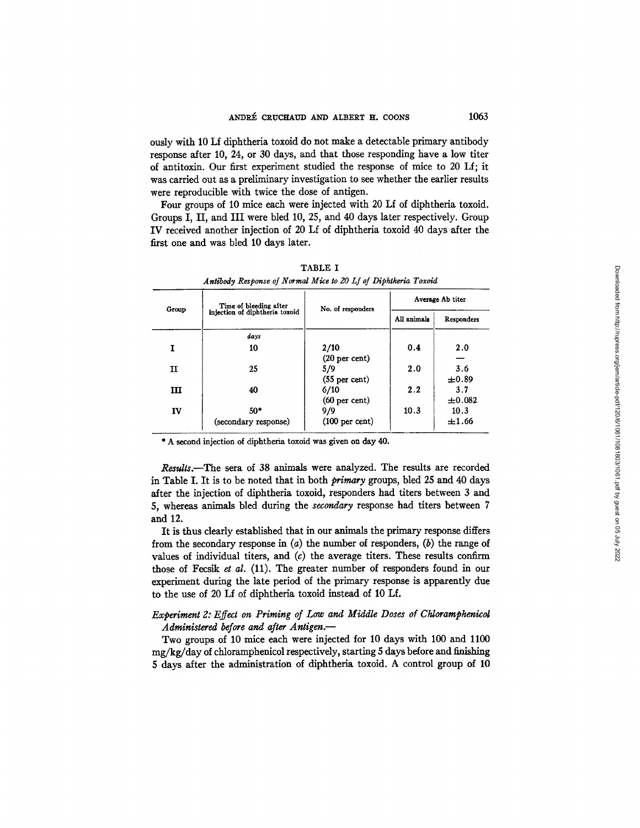ously with 10 Lf diphtheria toxoid do not make a detectable primary antibody response after 10, 24, or 30 days, and that those responding have a low titer of antitoxin. Our first experiment studied the response of mice to 20 Lf; it was carried out as a preliminary investigation to see whether the earlier results were reproducible with twice the dose of antigen.

Four groups of 10 mice each were injected with 20 Lf of diphtheria toxoid. Groups I, II, and III were bled 10, 25, and 40 days later respectively. Group IV received another injection of 20 Lf of diphtheria toxoid 40 days after the first one and was bled 10 days later.

| Group       | Time of bleeding after         | No. of responders        | Average Ab titer |            |  |
|-------------|--------------------------------|--------------------------|------------------|------------|--|
|             | injection of diphtheria toxoid |                          | All animals      | Responders |  |
|             | days                           |                          |                  |            |  |
| 1           | 10                             | 2/10                     | 0.4              | 2.0        |  |
|             |                                | (20 <sub>per</sub> cent) |                  |            |  |
| $\mathbf I$ | 25                             | 5/9                      | 2.0              | 3.6        |  |
|             |                                | $(55$ per cent)          |                  | $\pm 0.89$ |  |
| ш           | 40                             | 6/10                     | 2.2              | 3.7        |  |
|             |                                | $(60 \text{ per cent})$  |                  | ±0.082     |  |
| IV          | $50*$                          | 9/9                      | 10.3             | 10.3       |  |
|             | (secondary response)           | $(100 \text{ per cent})$ |                  | ±1.66      |  |

TABLE I *Antibody Response of Normal Mice to 20 Lf of Diphtkeria Toxoid* 

\* A second injection of diphtheria toxoid was given **on day** 40.

Results.--The sera of 38 animals were analyzed. The results are recorded in Table I. It is to be noted that in both *primary* groups, bled 25 and 40 days after the injection of diphtheria toxoid, responders had titers between 3 and 5, whereas animals bled during the *secondary* response had titers between 7 and 12.

It is thus dearly established that in our animals the primary response differs from the secondary response in  $(a)$  the number of responders,  $(b)$  the range of values of individual titers, and  $(c)$  the average titers. These results confirm those of Fecsik *et al.* (11). The greater number of responders found in our experiment during the late period of the primary response is apparently due to the use of 20 Lf of diphtheria toxoid instead of 10 Lf.

# *Experiment 2." Effect on Priming of Low and Middle Doses of Chloramphenicol Administered before and after Antigen.-*

Two groups of 10 mice each were injected for 10 days with 100 and 1100  $mg/kg/day$  of chloramphenicol respectively, starting 5 days before and finishing 5 days after the administration of diphtheria toxoid. A control group of 10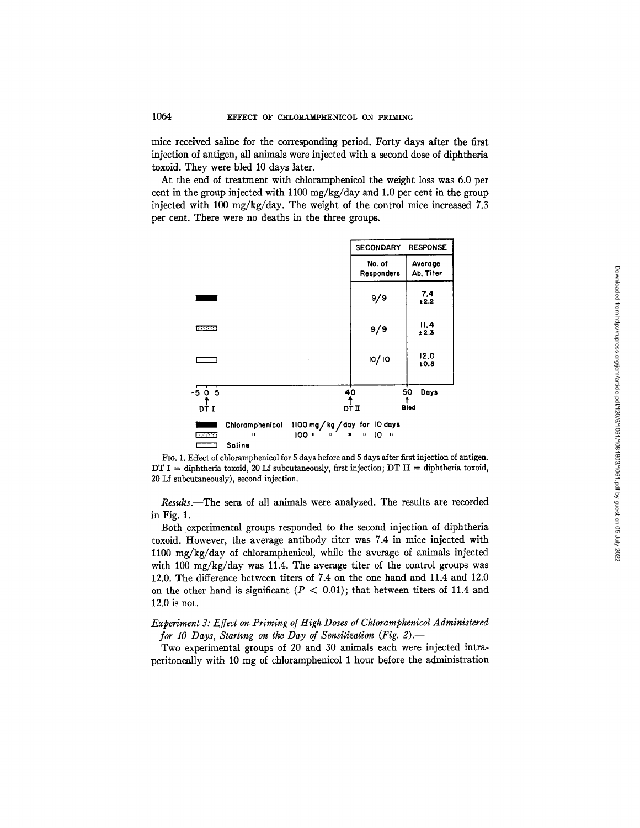mice received saline for the corresponding period. Forty days after the first injection of antigen, all animals were injected with a second dose of diphtheria toxoid. They were bled 10 days later.

At the end of treatment with chloramphenicol the weight loss was 6.0 per cent in the group injected with 1100 mg/kg/day and 1.0 per cent in the group injected with 100 mg/kg/day. The weight of the control mice increased 7.3 per cent. There were no deaths in the three groups.



Fro. 1. Effect of chloramphenicol for 5 days before and 5 days after first injection of antigen. DT I = diphtheria toxoid, 20 Lf subcutaneously, first injection;  $DT II =$  diphtheria toxoid, 20 Lf subcutaneously), second injection.

*Results.--The* sera of all animals were analyzed. The results are recorded in Fig. 1.

Both experimental groups responded to the second injection of diphtheria toxoid. However, the average antibody titer was 7.4 in mice injected with 1100 mg/kg/day of chloramphenicol, while the average of animals injected with 100 mg/kg/day was 11.4. The average titer of the control groups was 12.0. The difference between titers of 7.4 on the one hand and 11.4 and 12.0 on the other hand is significant ( $P < 0.01$ ); that between titers of 11.4 and 12.0 is not.

# *Experiment 3: Effect on Priming of High Doses of Chloramphenicol Administered for 10 Days, Starting on the Day of Sensitization (Fig. 2).--*

Two experimental groups of 20 and 30 animals each were injected intraperitoneally with 10 mg of chloramphenicol 1 hour before the administration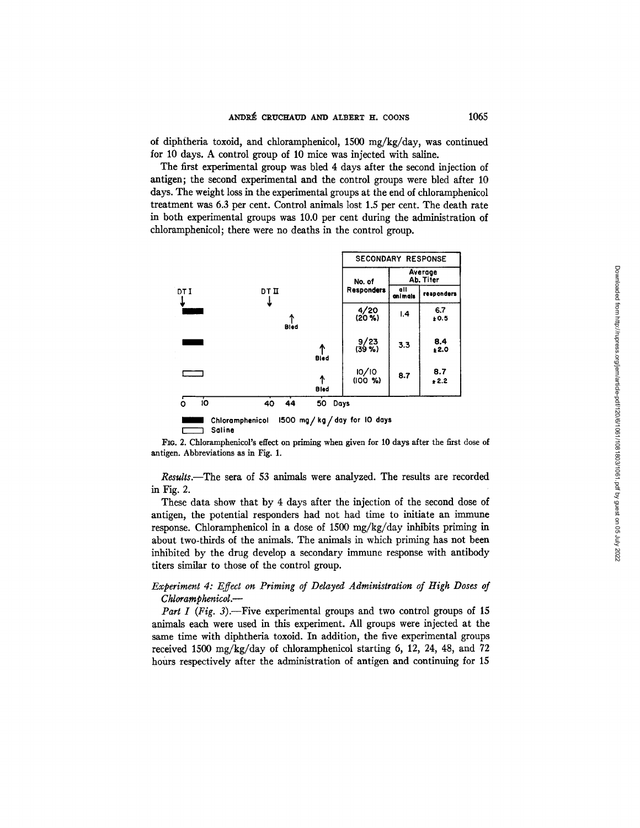of diphtheria toxoid, and chloramphenicol, 1500 *mg/kg/day,* was continued for 10 days. A control group of 10 mice was injected with saline.

The first experimental group was bled 4 days after the second injection of antigen; the second experimental and the control groups were bled after 10 days. The weight loss in the experimental groups at the end of chloramphenicol treatment was 6.3 per cent. Control animals lost 1.5 per cent. The death rate in both experimental groups was 10.0 per cent during the administration of chloramphenicol; there were no deaths in the control group.



FIG. 2. Chloramphenicol's effect on priming when given for 10 days after the first dose of antigen. Abbreviations as in Fig. I.

*Results.--The* sera of 53 animals were analyzed. The results are recorded in Fig. 2.

These data show that by 4 days after the injection of the second dose of antigen, the potential responders had not had time to initiate an immune response. Chloramphenicol in a dose of 1500 mg/kg/day inhibits priming in about two-thirds of the animals. The animals in which priming has not been inhibited by the drug develop a secondary immune response with antibody titers similar to those of the control group.

# *Experiment 4: Effect on Priming of Delayed Administration of High Doses of Chloramphenicol.--*

*Part I (Fig. 3)*.-- Five experimental groups and two control groups of 15 animals each were used in this experiment. All groups were injected at the same time with diphtheria toxoid. In addition, the five experimental groups received 1500 mg/kg/day of chloramphenicol starting 6, 12, 24, 48, and 72 hours respectively after the administration of antigen and continuing for 15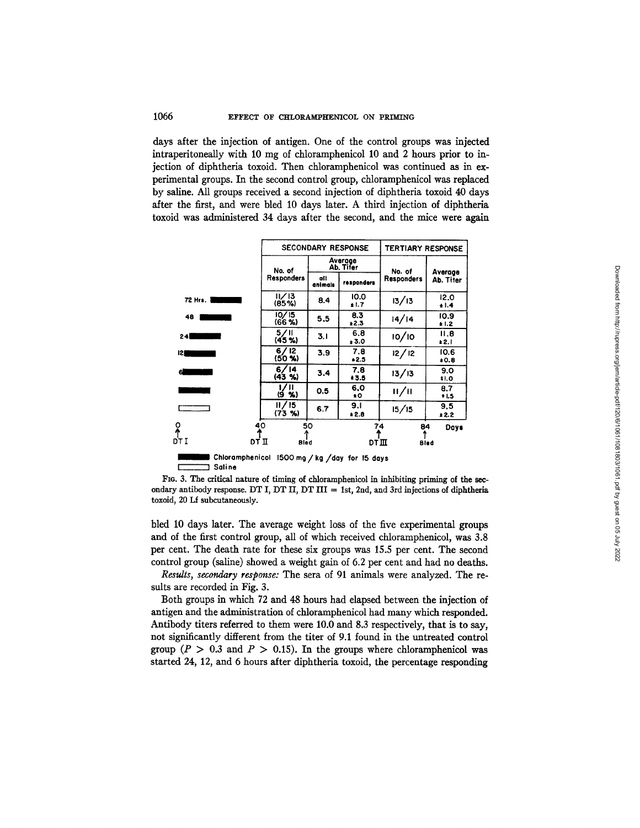## 1066 EFFECT OF CHLORAMPHENICOL ON PRIMING

days after the injection of antigen. One of the control groups was injected intraperitoneally with 10 mg of chloramphenicol 10 and 2 hours prior to injection of diphtheria toxoid. Then chloramphenicol was continued as in experimental groups. In the second control group, chloramphenicol was replaced by saline. All groups received a second injection of diphtheria toxoid 40 days after the first, and were bled 10 days later. A third injection of diphtheria toxoid was administered 34 days after the second, and the mice were again

|                                                |                   | <b>SECONDARY RESPONSE</b> | TERTIARY RESPONSE |                   |                    |
|------------------------------------------------|-------------------|---------------------------|-------------------|-------------------|--------------------|
|                                                | No. of            | Average<br>Ab. Tifer      |                   | No. of            | Average            |
|                                                | <b>Responders</b> | all<br>animals            | responders        | <b>Responders</b> | Ab. Titer          |
| 72 Hrs.                                        | 11/13<br>(85%)    | 8.4                       | 10.0<br>1.7       | 13/13             | 12.0<br>$+1.4$     |
| 48                                             | 10/15<br>(66 %)   | 5.5                       | 8.3<br>±2.3       | 14/14             | 10.9<br>±1.2       |
| 24                                             | 5/II<br>(45%)     | 3.1                       | 6,8<br>± 3.0      | 10/10             | 11.8<br>±2.1       |
| 121                                            | 6/12<br>$(50 \%)$ | 3.9                       | 7.8<br>$+2.5$     | 12/12             | 10.6<br>$*0.8$     |
| 6                                              | 6/14<br>(43, 9)   | 3.4                       | 7.8<br>* 3.5      | 13/13             | 9.0<br><b>tl.O</b> |
| the control of the control                     | 1/11<br>(9 %)     | 0.5                       | 6.0<br>$\bullet$  | /                 | 8.7<br>1.5         |
|                                                | 11/15<br>(73 %)   | 6.7                       | 9.1<br>$*2.8$     | 15/15             | 9,5<br>*2.2        |
| о<br>Лтт                                       | 40                | 50                        | 74<br>T           | 84                | Days               |
| DŤ II                                          | Bled              |                           | DT III            |                   | Bled               |
| Chloramphenicol 1500 mg / kg / day for 15 days |                   |                           |                   |                   |                    |

I I **Saline** 

FIG. 3. The critical nature of timing of chloramphenicol in inhibiting priming of the secondary antibody response. DT I, DT II, DT III = 1st, 2nd, and 3rd injections of diphtheria toxoid, 20 Lf subcutaneously.

bled 10 days later. The average weight loss of the five experimental groups and of the first control group, all of which received chloramphenicol, was 3.8 per cent. The death rate for these six groups was 15.5 per cent. The second control group (saline) showed a weight gain of 6.2 per cent and had no deaths.

*Results, secondary response:* The sera of 91 animals were analyzed. The results are recorded in Fig. 3.

Both groups in which 72 and 48 hours had elapsed between the injection of antigen and the administration of chloramphenicol had many which responded. Antibody titers referred to them were 10.0 and 8.3 respectively, that is to say, not significantly different from the titer of 9.1 found in the untreated control group ( $P > 0.3$  and  $P > 0.15$ ). In the groups where chloramphenicol was started 24, 12, and 6 hours after diphtheria toxoid, the percentage responding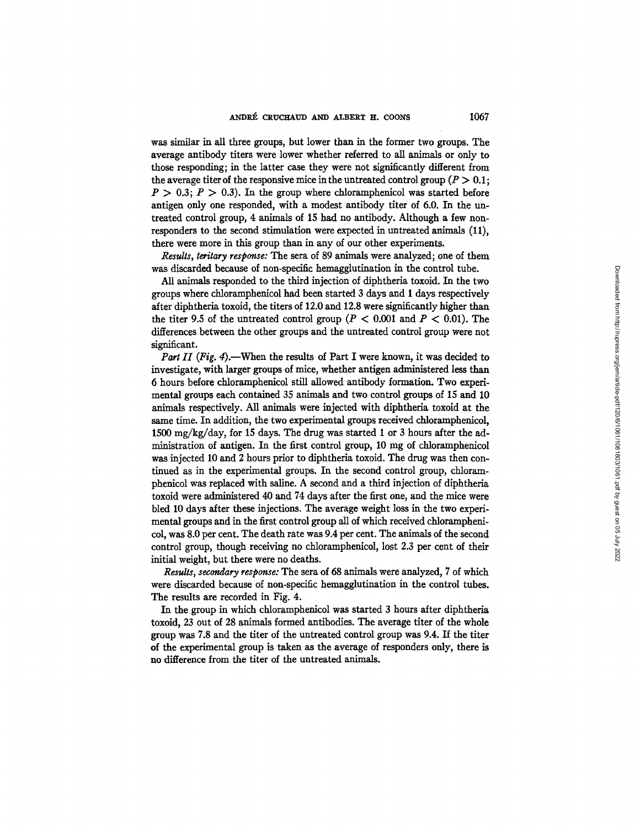was similar in all three groups, but lower than in the former two groups. The average antibody titers were lower whether referred to all animals or only to those responding; in the latter case they were not significantly different from the average titer of the responsive mice in the untreated control group ( $P > 0.1$ ;  $P > 0.3$ ;  $P > 0.3$ ). In the group where chloramphenicol was started before antigen only one responded, with a modest antibody titer of 6.0. In the untreated control group, 4 animals of 15 had no antibody. Although a few nonresponders to the second stimulation were expected in untreated animals (11), there were more in this group than in any of our other experiments.

*Results, teritary response:* The sera of 89 animals were analyzed; one of them was discarded because of non-specific hemagglutination in the control tube.

All animals responded to the third injection of diphtheria toxoid. In the two groups where chloramphenicol had been started 3 days and 1 days respectively after diphtheria toxoid, the fiters of 12.0 and 12.8 were significantly higher than the titer 9.5 of the untreated control group ( $P < 0.001$  and  $P < 0.01$ ). The differences between the other groups and the untreated control group were not significant.

*Part II (Fig. 4).*—When the results of Part I were known, it was decided to investigate, with larger groups of mice, whether antigen administered less than 6 hours before chloramphenicol still allowed antibody formation. Two experimental groups each contained 35 animals and two control groups of 15 and 10 animals respectively. All animals were injected with diphtheria toxoid at the same time. In addition, the two experimental groups received chloramphenicol, 1500 *mg/kg/day,* for 15 days. The drug was started 1 or 3 hours after the administration of antigen. In the first control group,  $10 \text{ mg}$  of chloramphenicol was injected 10 and 2 hours prior to diphtheria toxoid. The drug was then continued as in the experimental groups. In the second control group, chloramphenicol was replaced with saline. A second and a third injection of diphtheria toxoid were administered 40 and 74 days after the first one, and the mice were bled 10 days after these injections. The average weight loss in the two experimental groups and in the first control group all of which received chloramphenicol, was 8.0 per cent. The death rate was 9.4 per cent. The animals of the second control group, though receiving no chloramphenicol, lost 2.3 per cent of their initial weight, but there were no deaths.

*Results, secondary response:* The sera of 68 animals were analyzed, 7 of which were discarded because of non-specific hemagglutination in the control tubes. The results are recorded in Fig. 4.

In the group in which chloramphenicol was started 3 hours after diphtheria toxoid, 23 out of 28 animals formed antibodies. The average titer of the whole group was 7.8 and the titer of the untreated control group was 9.4. If the titer of the experimental group is taken as the average of responders *only,* there is no difference from the titer of the untreated animals.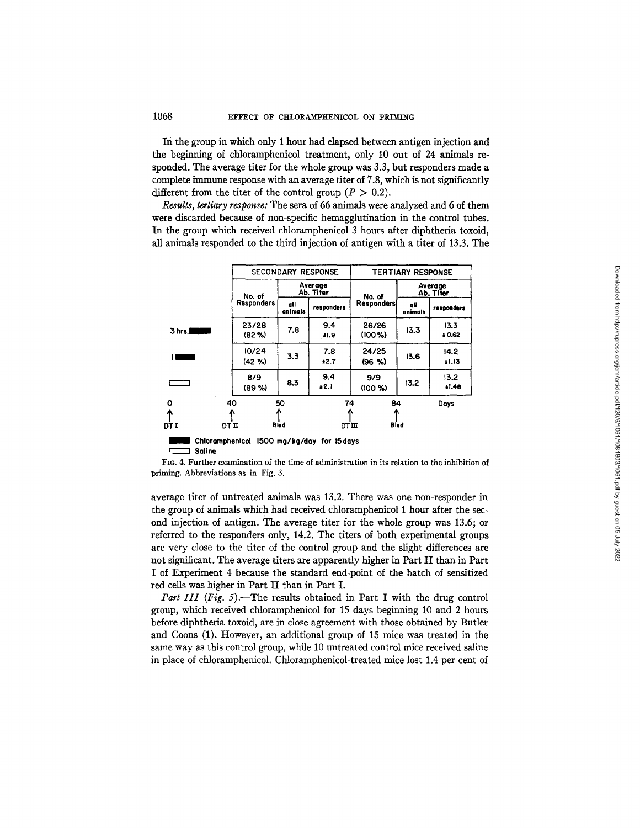In the group in which only 1 hour had elapsed between antigen injection and the beginning of chloramphenicol treatment, only 10 out of 24 animals responded. The average titer for the whole group was 3.3, but responders made a complete immune response with an average titer of 7.8, which is not significantly different from the titer of the control group ( $P > 0.2$ ).

*Results, tertiary response:* The sera of 66 animals were analyzed and 6 of them were discarded because of non-specific hemagglutination in the control tubes. In the group which received chloramphenicol 3 hours after diphtheria toxoid, all animals responded to the third injection of antigen with a titer of 13.3. The

|                                                      |                             | <b>SECONDARY RESPONSE</b> |                |                      | <b>TERTIARY RESPONSE</b>   |                      |                 |
|------------------------------------------------------|-----------------------------|---------------------------|----------------|----------------------|----------------------------|----------------------|-----------------|
|                                                      |                             | No. of                    |                | Average<br>Ab. Tifer | No. of                     | Average<br>Ab. Titer |                 |
|                                                      |                             | <b>Responders</b>         | all<br>animals | responders           | <b>Responders</b>          | all<br>animals       | responders      |
| 3 hrs.                                               | 23/28<br>(82%)              |                           | 7.8            | 9.4<br>±1.9          | 26/26<br>(100 %            | 13.3                 | 13.3<br>₽0.62   |
|                                                      | 10/24<br>$(42 \frac{9}{6})$ |                           | 3.3            | 7.8<br>$*2.7$        | 24/25<br>(96, 96)          | 13.6                 | 14.2<br>$+1.13$ |
|                                                      | 8/9<br>(89%)                |                           | 8.3            | 9.4<br>±2.1          | 9/9<br>(100 %              | 13.2                 | 13.2<br>1.46    |
| o<br>ሉ<br>DT I                                       | 40<br>DT II                 |                           | 50<br>Bled     |                      | 74<br>84<br>Bled<br>DT III |                      | Days            |
| Chloramphenicol 1500 mg/kg/day for 15 days<br>Saline |                             |                           |                |                      |                            |                      |                 |

FIo. 4. Further examination of the time of administration in its relation to the inhibition of priming. Abbreviations as in Fig. 3.

average titer of untreated animals was 13.2. There was one non-responder in the group of animals which had received chloramphenicol 1 hour after the second injection of antigen. The average titer for the whole group was 13.6; or referred to the responders only, 14.2. The titers of both experimental groups are very close to the titer of the control group and the slight differences are not significant. The average titers are apparently higher in Part II than in Part I of Experiment 4 because the standard end-point of the batch of sensitized red cells was higher in Part II than in Part I.

*Part III (Fig. 5).*-The results obtained in Part I with the drug control group, which received chloramphenicol for 15 days beginning 10 and 2 hours before diphtheria toxoid, are in close agreement with those obtained by Butler and Coons (1). However, an additional group of 15 mice was treated in the same way as this control group, while 10 untreated control mice received saline in place of chloramphenicol. Chloramphenicol-treated mice lost 1.4 per cent of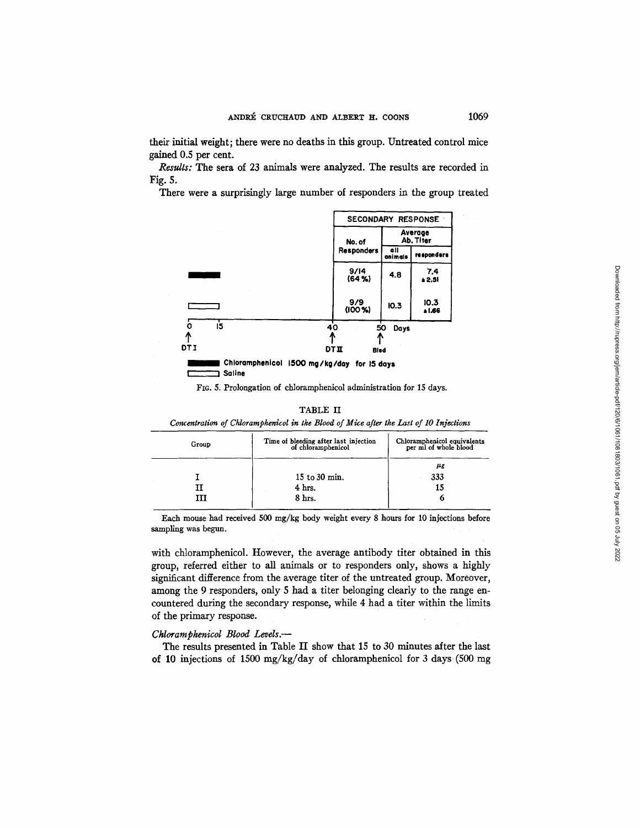their initial weight; there were no deaths in this group. Untreated control mice gained 0.5 per cent.

*Rezults:* The sera of 23 animals were analyzed. The results are recorded in Fig. 5.

There were a surprisingly large number of responders in the group treated



FIG. 5. Prolongation of chloramphenicol administration for 15 days.

### TABLE II

*Concentration of Chloramphenicol in the Blood of Mice after the Last of 10 Injections* 

| Group | Time of bleeding after last injection<br>of chloramphenicol | Chloramphenicol equivalents<br>per ml of whole blood |  |  |
|-------|-------------------------------------------------------------|------------------------------------------------------|--|--|
|       |                                                             | μg                                                   |  |  |
|       | $15$ to $30$ min.                                           | 333                                                  |  |  |
|       | 4 <sub>hrs.</sub>                                           | 15                                                   |  |  |
|       | 8 hrs.                                                      |                                                      |  |  |
|       |                                                             |                                                      |  |  |

Each mouse had received 500 mg/kg body weight every 8 hours for 10 injections before sampling was begun.

with chloramphenicol. However, the average antibody titer obtained in this group, referred either to all animals or to responders only, shows a highly significant difference from the average titer of the untreated group. Moreover, among the 9 responders, only 5 had a titer belonging clearly to the range encountered during the secondary response, while 4 had a fiter within the limits of the primary response.

# *Chloramphenicol Blood Levels.-*

The results presented in Table II show that 15 to 30 minutes after the last of 10 injections of 1500 mg/kg/day of chloramphenicol for 3 days (500 mg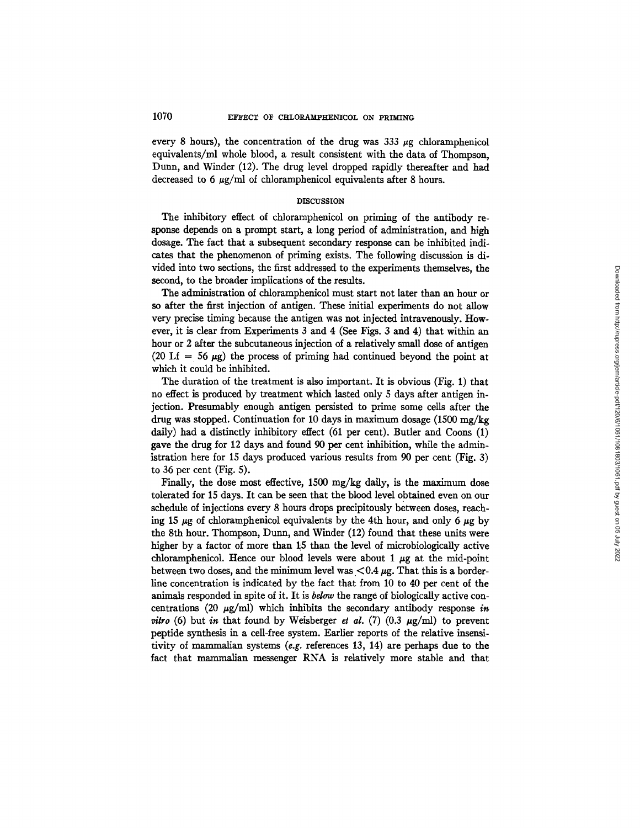every 8 hours), the concentration of the drug was  $333 \mu$ g chloramphenicol equivalents/ml whole blood, a result consistent with the data of Thompson, Dunn, and Winder (12). The drug level dropped rapidly thereafter and had decreased to 6  $\mu$ g/ml of chloramphenicol equivalents after 8 hours.

## **DISCUSSION**

The inhibitory effect of chloramphenicol on priming of the antibody response depends on a prompt start, a long period of administration, and high dosage. The fact that a subsequent secondary response can be inhibited indicates that the phenomenon of priming exists. The following discussion is divided into two sections, the first addressed to the experiments themselves, the second, to the broader implications of the results.

The administration of chloramphenicol must start not later than an hour or so after the first injection of antigen. These initial experiments do not allow very precise timing because the antigen was not injected intravenously. However, it is clear from Experiments 3 and 4 (See Figs. 3 and 4) that within an hour or 2 after the subcutaneous injection of a relatively small dose of antigen (20 Lf = 56  $\mu$ g) the process of priming had continued beyond the point at which it could be inhibited.

The duration of the treatment is also important. It is obvious (Fig. 1) that no effect is produced by treatment which lasted only 5 days after antigen injection. Presumably enough antigen persisted to prime some cells after the drug was stopped. Continuation for 10 days in maximum dosage (1500 mg/kg daily) had a distinctly inhibitory effect (61 per cent). Butler and Coons (1) gave the drug for 12 days and found 90 per cent inhibition, while the administration here for 15 days produced various results from 90 per cent (Fig. 3) to 36 per cent (Fig. 5).

Finally, the dose most effective, 1500 mg/kg daily, is the maximum dose tolerated for 15 days. It can be seen that the blood level obtained even on our schedule of injections every 8 hours drops precipitously between doses, reaching 15  $\mu$ g of chloramphenicol equivalents by the 4th hour, and only 6  $\mu$ g by the 8th hour. Thompson, Dunn, and Winder (12) found that these units were higher by a factor of more than 25 than the level of microbiologically active chloramphenicol. Hence our blood levels were about 1  $\mu$ g at the mid-point between two doses, and the minimum level was  $< 0.4 \mu$ g. That this is a borderline concentration is indicated by the fact that from 10 to 40 per cent of the animals responded in spite of it. It is *bdow* the range of biologically active concentrations (20  $\mu$ g/ml) which inhibits the secondary antibody response in *vitro* (6) but in that found by Weisberger et al. (7) (0.3  $\mu$ g/ml) to prevent peptide synthesis in a cell-free system. Earlier reports of the relative insensitivity of mammalian systems (e.g. references 13, 14) are perhaps due to the fact that mammalian messenger RNA is relatively more stable and that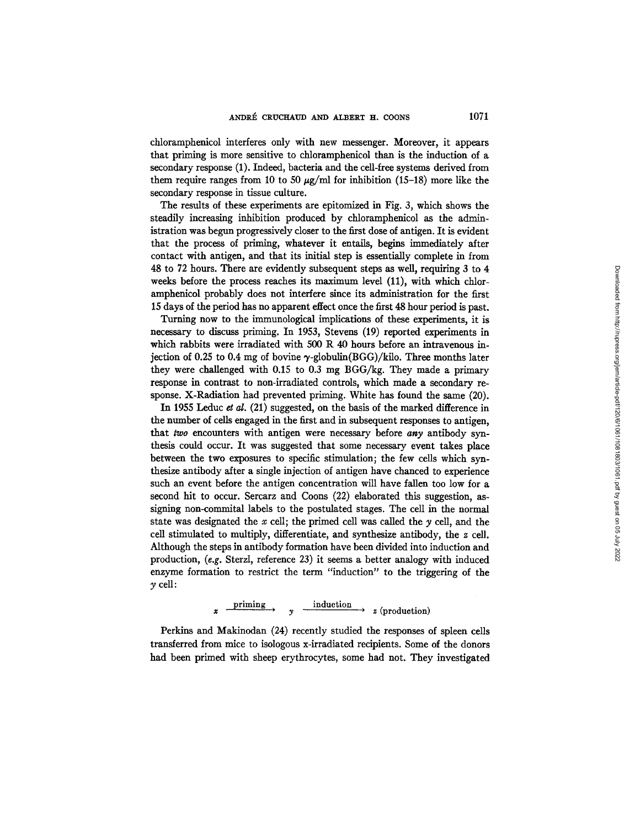chloramphenicol interferes only with new messenger. Moreover, it appears that priming is more sensitive to chloramphenicol than is the induction of a secondary response (1). Indeed, bacteria and the cell-free systems derived from them require ranges from 10 to 50  $\mu$ g/ml for inhibition (15-18) more like the secondary response in tissue culture.

The results of these experiments are epitomized in Fig. 3, which shows the steadily increasing inhibition produced by chloramphenicol as the administration was begun progressively closer to the first dose of antigen. It is evident that the process of priming, whatever it entails, begins immediately after contact with antigen, and that its initial step is essentially complete in from 48 to 72 hours. There are evidently subsequent steps as well, requiring 3 to 4 weeks before the process reaches its maximum level (11), with which chloramphenicol probably does not interfere since its administration for the first 15 days of the period has no apparent effect once the first 48 hour period is past.

Turning now to the immunological implications of these experiments, it is necessary to discuss priming. In 1953, Stevens (19) reported experiments in which rabbits were irradiated with 500 R 40 hours before an intravenous injection of 0.25 to 0.4 mg of bovine  $\gamma$ -globulin(BGG)/kilo. Three months later they were challenged with 0.15 to 0.3 mg BGG/kg. They made a primary response in contrast to non-irradiated controls, which made a secondary response. X-Radiation had prevented priming. White has found the same (20).

In 1955 Leduc et al.  $(21)$  suggested, on the basis of the marked difference in the number of cells engaged in the first and in subsequent responses to antigen, that *two* encounters with antigen were necessary before *any* antibody synthesis could occur. It was suggested that some necessary event takes place between the two exposures to specific stimulation; the few cells which synthesize antibody after a single injection of antigen have chanced to experience such an event before the antigen concentration will have fallen too low for a second hit to occur. Sercarz and Coons (22) elaborated this suggestion, assigning non-commltal labels to the postulated stages. The cell in the normal state was designated the x cell; the primed cell was called the  $\gamma$  cell, and the cell stimulated to multiply, differentiate, and synthesize antibody, the z cell. Although the steps in antibody formation have been divided into induction and production, *(e.g.* Sterzl, reference 23) it seems a better analogy with induced enzyme formation to restrict the term "induction" to the triggering of the  $\gamma$  cell:

 $x \xrightarrow{\text{priming}} y \xrightarrow{\text{induction}} z \text{ (production)}$ 

Perkins and Makinodan (24) recently studied the responses of spleen cells transferred from mice to isologous x-irradiated recipients. Some of the donors had been primed with sheep erythrocytes, some had not. They investigated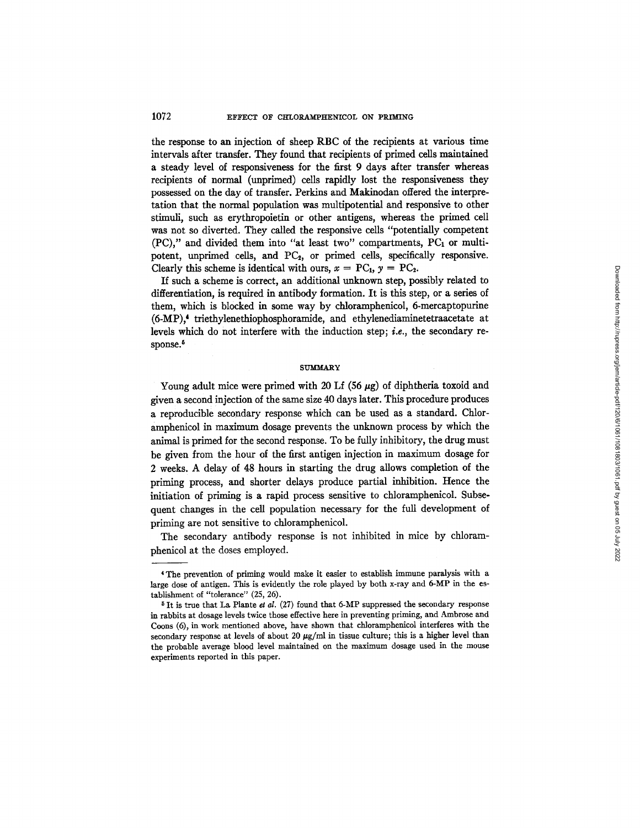the response to an injection of sheep RBC of the recipients at various time intervals after transfer. They found that recipients of primed cells maintained a steady level of responsiveness for the first 9 days after transfer whereas recipients of normal (unprimed) cells rapidly lost the responsiveness they possessed on the day of transfer. Perkins and Makinodan offered the interpretation that the normal population was multipotential and responsive to other stimuli, such as erythropoietin or other antigens, whereas the primed cell was not so diverted. They called the responsive cells "potentially competent (PC)," and divided them into *"at* least two" compartments, PC, or multipotent, unprimed cells, and PC<sub>2</sub>, or primed cells, specifically responsive. Clearly this scheme is identical with ours,  $x = PC_1$ ,  $y = PC_2$ .

If such a scheme is correct, an additional unknown step, possibly related to differentiation, is required in antibody formation. It is this step, or a series of them, which is blocked in some way by chloramphenicol, 6-mercaptopurine (6-MP),<sup>4</sup> triethylenethiophosphoramide, and ethylenediaminetetraacetate at levels which do not interfere with the induction step; *i.e.,* the secondary response.<sup>5</sup>

### **SUMMARY**

Young adult mice were primed with 20 Lf (56  $\mu$ g) of diphtheria toxoid and given a second injection of the same size 40 days later. This procedure produces a reproducible secondary response which can be used as a standard. Chloramphenicol in maximum dosage prevents the unknown process by which the animal is primed for the second response. To be fully inhibitory, the drug must be given from the hour of the first antigen injection in maximum dosage for 2 weeks. A delay of 48 hours in starting the drug allows completion of the priming process, and shorter delays produce partial inhibition. Hence the initiation of priming is a rapid process sensitive to chloramphenicol. Subsequent changes in the cell population necessary for the full development of priming are not sensitive to chloramphenicol.

The secondary antibody response is not inhibited in mice by chloramphenicol at the doses employed.

<sup>4</sup> The prevention of priming would make it easier to establish immune paralysis with a large dose of antigen. This is evidently the role played by both x-ray and 6-MP in the establishment of "tolerance" (25, 26).

 $5$  It is true that La Plante et al. (27) found that 6-MP suppressed the secondary response in rabbits at dosage levels twice those effective here in preventing priming, and Ambrose and Coons (6), in work mentioned above, have shown that chloramphenicol interferes with the secondary response at levels of about 20  $\mu$ g/ml in tissue culture; this is a higher level than the probable average blood level maintained on the maximum dosage used in the mouse experiments reported in this paper.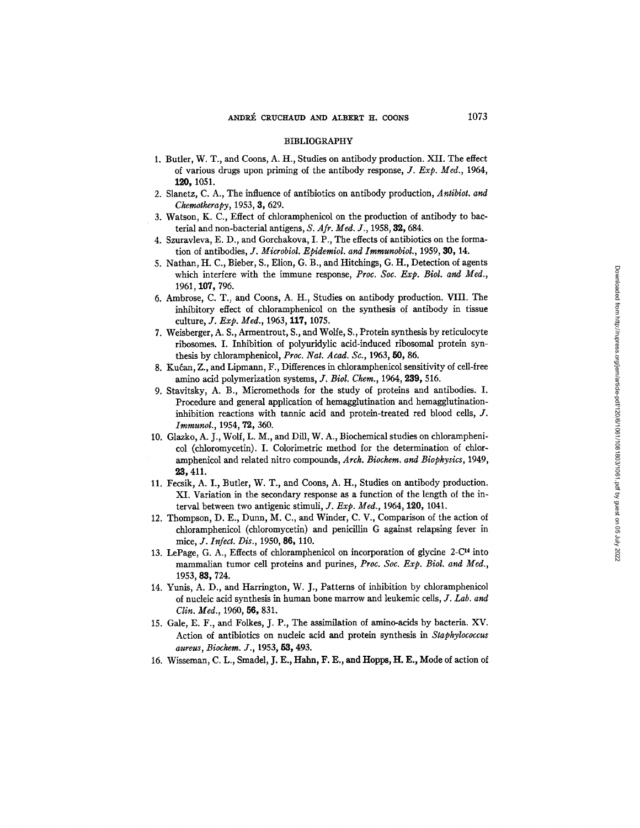#### BIBLIOGRAPHY

- 1. Butler, W. T., and Coons, A. H., Studies on antibody production. XII. The effect of various drugs upon priming of the antibody response, *J. Exp. Med.,* 1964, **120,** 1051.
- 2. Slanetz, C. A., The influence of antibiotics on antibody production, *Antibiot. and Chemotherapy*, 1953, 3, 629.
- 3. Watson, K. C., Effect of chloramphenicol on the production of antibody to bacterial and non-bacterial antigens, *S, Afr. Med. J.,* 1958, 32, 684.
- 4. Szuravleva, E. D., and Gorchakova, I. P., The effects of antibiotics on the formation of antibodies, *J. Microbiol. Epidemiol. and Immunobiol.,* 1959, 30, 14.
- 5. Nathan, H. C., Bieber, S., Elion, G. B., and Hitchings, G. H., Detection of agents which interfere with the immune response, *Proc. Soc. Exp. Biol. and Med.,*  1961, 107, 796.
- 6. Ambrose, C. T., and Coons, A. H., Studies on antibody production. VIII. The inhibitory effect of chloramphenicol on the synthesis of antibody in tissue culture, *J. Exp. Med.*, 1963, 117, 1075.
- 7. Weisberger, A. S., Armentrout, S., and Wolfe, S., Protein synthesis by reticulocyte ribosomes. I. Inhibition of polyuridylic acid-induced ribosomal protein synthesis by chloramphenicol, *Proc. Nat. Acad. Sc.,* 1963, 50, 86.
- 8. Kućan, Z., and Lipmann, F., Differences in chloramphenicol sensitivity of cell-free amino acid polymerization systems, *J. Biol. Chem.,* 1964, 239, 516.
- 9. Stavitsky, A. B., Micromethods for the study of proteins and antibodies. I. Procedure and general application of hemagglutination and hemagglutinationinhibition reactions with tannic acid and protein-treated red blood cells, J. *Immunol.,* 1954, 72, 360.
- 10. Glazko, A. J., Wolf, L. M., and Dill, W. A., Biochemical studies on chloramphenicol (chloromycetin). I. Colorimetric method for the determination of chloramphenicol and related nitro compounds, *Arch. Biochem. and Biophysics,* 1949, 23,411.
- 11. Feesik, A. I., Butler, W. T., and Coons, A. H., Studies on antibody production. XI. Variation in the secondary response as a function of the length of the interval between two antigenic stimuli, *J. Exp. Med.*, 1964, 120, 1041.
- 12. Thompson, D. E., Dunn, M. C., and Winder, C. V., Comparison of the action of chloramphenicol (chloromycetin) and penicillin G against relapsing fever in mice, *J. Infect. Dis.,* 1950, 86, 110.
- 13. LePage, G. A., Effects of chloramphenicol on incorporation of glycine 2-C<sup>14</sup> into mammalian tumor cell proteins and purines, *Proc. Soc. Exp. Biol. and Meg.,*  1953, 83,724.
- 14. Yunis, A. *D.,* and Harrington, W. J., Patterns of inhibition by chloramphenicol of nucleic acid synthesis in human bone marrow and leukemic cells, *J. Lab. and Clin. Med.,* 1960, 56, 831.
- 15. Gale, E. F., and Folkes, J. P., The assimilation of amino-acids by bacteria. XV. Action of antibiotics on nucleic acid and protein synthesis in *Staphylococcus aureus, Biochem. J.,* 1953, 53, 493.
- 16. Wisseman, C. L., Smadel, J. E., Hahn, F. E., and Hopps, H. E., Mode of action of